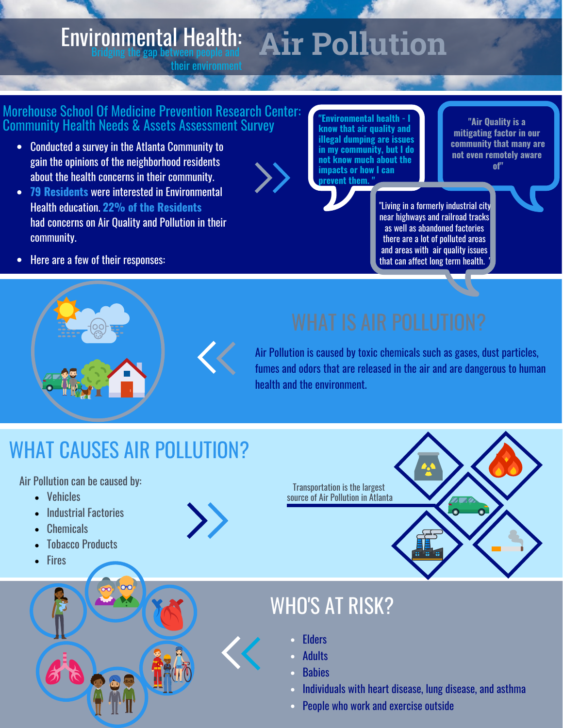#### **Air Pollution** Environmental Health: Bridging the gap between people and

#### Morehouse School Of Medicine Prevention Research Center: Community Health Needs & Assets Assessment Survey

their environment

- Conducted a survey in the Atlanta Community to gain the opinions of the neighborhood residents about the health concerns in their community.
- **79 Residents** were interested in Environmental Health education. **22% of the Residents**  had concerns on Air Quality and Pollution in their community.

**"Environmental health - I know that air quality and illegal dumping are issues in my community, but I do not know much about the impacts or how I can prevent them. "**

**"Air Quality is a mitigating factor in our community that many are not even remotely aware of"**

"Living in a formerly industrial city near highways and railroad tracks as well as abandoned factories there are a lot of polluted areas and areas with air quality issues that can affect long term health.

• Here are a few of their responses:

Air Pollution is caused by toxic chemicals such as gases, dust particles, fumes and odors that are released in the air and are dangerous to human health and the environment.

# WHAT CAUSES AIR POLLUTION?

Air Pollution can be caused by:

- Vehicles
- Industrial Factories
- **Chemicals**
- Tobacco Products
- **Fires**



Transportation is the largest source of Air Pollution in Atlanta

## WHO'S AT RISK?

- **Elders**
- Adults
- **Babies**
- Individuals with heart disease, lung disease, and asthma
- People who work and exercise outside